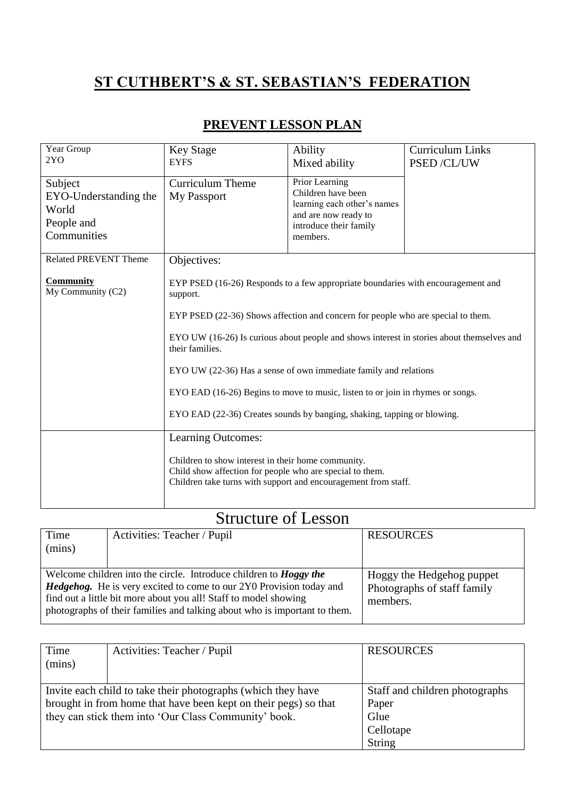## **ST CUTHBERT'S & ST. SEBASTIAN'S FEDERATION**

| PREVENT LESSON PLAN |  |
|---------------------|--|
|---------------------|--|

| Year Group<br>2YO                                                      | <b>Key Stage</b><br><b>EYFS</b>                                                                                                                                                                                                                                                                                                                                      | Ability<br>Mixed ability                                                                                                          | <b>Curriculum Links</b><br>PSED /CL/UW |
|------------------------------------------------------------------------|----------------------------------------------------------------------------------------------------------------------------------------------------------------------------------------------------------------------------------------------------------------------------------------------------------------------------------------------------------------------|-----------------------------------------------------------------------------------------------------------------------------------|----------------------------------------|
| Subject<br>EYO-Understanding the<br>World<br>People and<br>Communities | <b>Curriculum Theme</b><br>My Passport                                                                                                                                                                                                                                                                                                                               | Prior Learning<br>Children have been<br>learning each other's names<br>and are now ready to<br>introduce their family<br>members. |                                        |
| <b>Related PREVENT Theme</b>                                           | Objectives:                                                                                                                                                                                                                                                                                                                                                          |                                                                                                                                   |                                        |
| <b>Community</b><br>My Community (C2)                                  | EYP PSED (16-26) Responds to a few appropriate boundaries with encouragement and<br>support.<br>EYP PSED (22-36) Shows affection and concern for people who are special to them.<br>EYO UW (16-26) Is curious about people and shows interest in stories about themselves and<br>their families.<br>EYO UW (22-36) Has a sense of own immediate family and relations |                                                                                                                                   |                                        |
|                                                                        | EYO EAD (16-26) Begins to move to music, listen to or join in rhymes or songs.                                                                                                                                                                                                                                                                                       |                                                                                                                                   |                                        |
|                                                                        | EYO EAD (22-36) Creates sounds by banging, shaking, tapping or blowing.                                                                                                                                                                                                                                                                                              |                                                                                                                                   |                                        |
|                                                                        | Learning Outcomes:                                                                                                                                                                                                                                                                                                                                                   |                                                                                                                                   |                                        |
|                                                                        | Children to show interest in their home community.<br>Child show affection for people who are special to them.<br>Children take turns with support and encouragement from staff.                                                                                                                                                                                     |                                                                                                                                   |                                        |

## Structure of Lesson

| Time                                                                                                                                                   | Activities: Teacher / Pupil | <b>RESOURCES</b>                                         |
|--------------------------------------------------------------------------------------------------------------------------------------------------------|-----------------------------|----------------------------------------------------------|
| (mins)                                                                                                                                                 |                             |                                                          |
|                                                                                                                                                        |                             |                                                          |
| Welcome children into the circle. Introduce children to <b>Hoggy the</b><br><b>Hedgehog.</b> He is very excited to come to our 2Y0 Provision today and |                             | Hoggy the Hedgehog puppet<br>Photographs of staff family |
| find out a little bit more about you all! Staff to model showing<br>photographs of their families and talking about who is important to them.          |                             | members.                                                 |

| Time<br>(mins)                                                                                                                                                                          | Activities: Teacher / Pupil | <b>RESOURCES</b>                                                       |
|-----------------------------------------------------------------------------------------------------------------------------------------------------------------------------------------|-----------------------------|------------------------------------------------------------------------|
| Invite each child to take their photographs (which they have<br>brought in from home that have been kept on their pegs) so that<br>they can stick them into 'Our Class Community' book. |                             | Staff and children photographs<br>Paper<br>Glue<br>Cellotape<br>String |